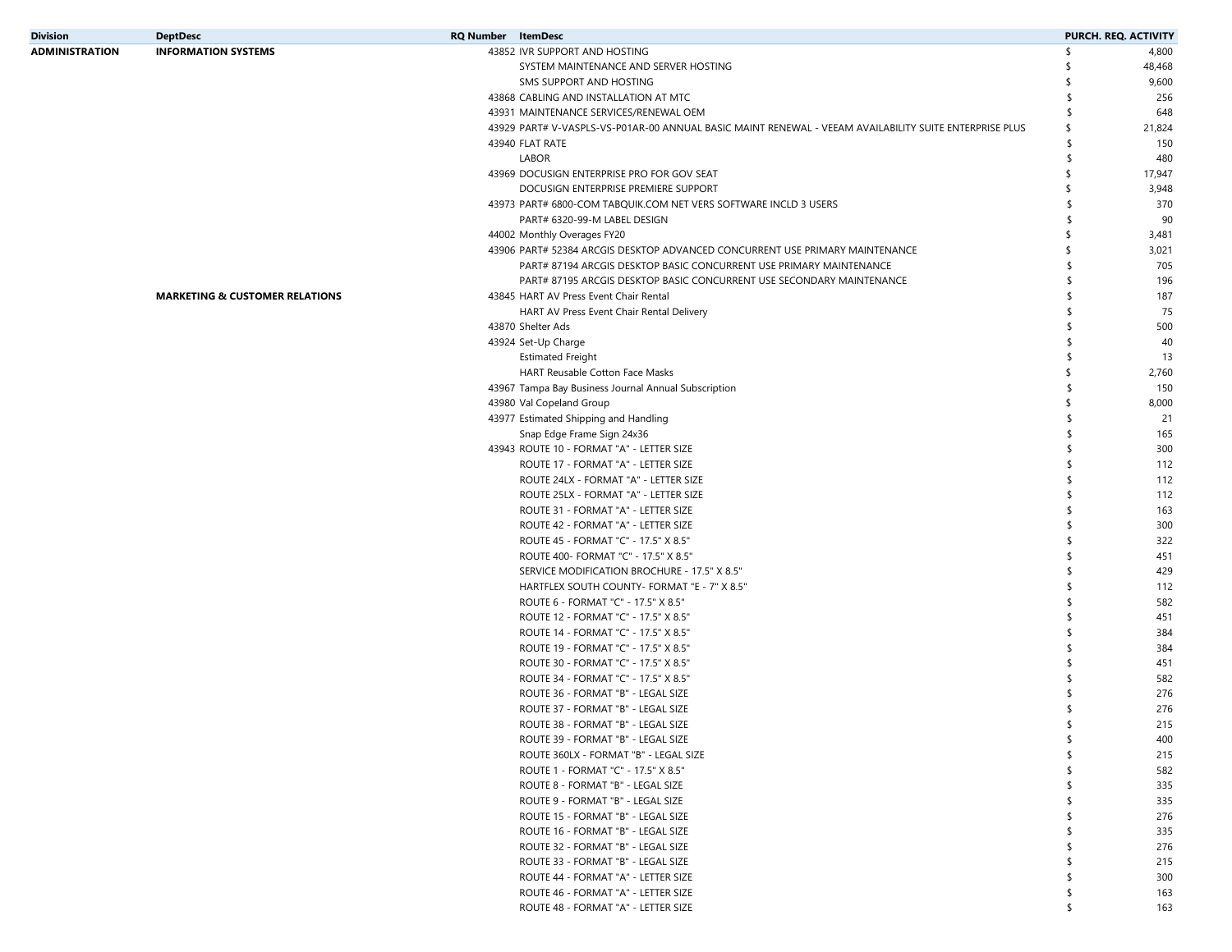| <b>Division</b>       | <b>DeptDesc</b>                           | <b>RQ Number</b> ItemDesc |                                                                                                        |     | PURCH. REQ. ACTIVITY |
|-----------------------|-------------------------------------------|---------------------------|--------------------------------------------------------------------------------------------------------|-----|----------------------|
| <b>ADMINISTRATION</b> | <b>INFORMATION SYSTEMS</b>                |                           | 43852 IVR SUPPORT AND HOSTING                                                                          | \$  | 4,800                |
|                       |                                           |                           | SYSTEM MAINTENANCE AND SERVER HOSTING                                                                  |     | 48,468               |
|                       |                                           |                           | SMS SUPPORT AND HOSTING                                                                                |     | 9,600                |
|                       |                                           |                           | 43868 CABLING AND INSTALLATION AT MTC                                                                  | \$  | 256                  |
|                       |                                           |                           | 43931 MAINTENANCE SERVICES/RENEWAL OEM                                                                 |     | 648                  |
|                       |                                           |                           | 43929 PART# V-VASPLS-VS-P01AR-00 ANNUAL BASIC MAINT RENEWAL - VEEAM AVAILABILITY SUITE ENTERPRISE PLUS | \$  | 21,824               |
|                       |                                           |                           | 43940 FLAT RATE                                                                                        | \$  | 150                  |
|                       |                                           |                           | <b>LABOR</b>                                                                                           | \$  | 480                  |
|                       |                                           |                           | 43969 DOCUSIGN ENTERPRISE PRO FOR GOV SEAT                                                             | \$  | 17,947               |
|                       |                                           |                           | DOCUSIGN ENTERPRISE PREMIERE SUPPORT                                                                   | \$  | 3,948                |
|                       |                                           |                           | 43973 PART# 6800-COM TABQUIK.COM NET VERS SOFTWARE INCLD 3 USERS                                       | \$  | 370                  |
|                       |                                           |                           | PART# 6320-99-M LABEL DESIGN                                                                           | \$  | 90                   |
|                       |                                           |                           | 44002 Monthly Overages FY20                                                                            |     | 3,481                |
|                       |                                           |                           | 43906 PART# 52384 ARCGIS DESKTOP ADVANCED CONCURRENT USE PRIMARY MAINTENANCE                           |     | 3,021                |
|                       |                                           |                           | PART# 87194 ARCGIS DESKTOP BASIC CONCURRENT USE PRIMARY MAINTENANCE                                    |     | 705                  |
|                       |                                           |                           | PART# 87195 ARCGIS DESKTOP BASIC CONCURRENT USE SECONDARY MAINTENANCE                                  |     | 196                  |
|                       | <b>MARKETING &amp; CUSTOMER RELATIONS</b> |                           | 43845 HART AV Press Event Chair Rental                                                                 |     | 187                  |
|                       |                                           |                           | HART AV Press Event Chair Rental Delivery                                                              |     | 75                   |
|                       |                                           |                           | 43870 Shelter Ads                                                                                      |     | 500                  |
|                       |                                           |                           | 43924 Set-Up Charge                                                                                    |     | 40                   |
|                       |                                           |                           | <b>Estimated Freight</b>                                                                               |     | 13                   |
|                       |                                           |                           | HART Reusable Cotton Face Masks                                                                        | \$  | 2,760                |
|                       |                                           |                           | 43967 Tampa Bay Business Journal Annual Subscription                                                   |     | 150                  |
|                       |                                           |                           | 43980 Val Copeland Group                                                                               | \$  | 8,000                |
|                       |                                           |                           | 43977 Estimated Shipping and Handling                                                                  |     | 21                   |
|                       |                                           |                           | Snap Edge Frame Sign 24x36                                                                             | \$. | 165                  |
|                       |                                           |                           | 43943 ROUTE 10 - FORMAT "A" - LETTER SIZE                                                              |     | 300                  |
|                       |                                           |                           | ROUTE 17 - FORMAT "A" - LETTER SIZE                                                                    |     | 112                  |
|                       |                                           |                           | ROUTE 24LX - FORMAT "A" - LETTER SIZE                                                                  |     | 112                  |
|                       |                                           |                           | ROUTE 25LX - FORMAT "A" - LETTER SIZE                                                                  |     | 112                  |
|                       |                                           |                           | ROUTE 31 - FORMAT "A" - LETTER SIZE                                                                    |     | 163                  |
|                       |                                           |                           | ROUTE 42 - FORMAT "A" - LETTER SIZE                                                                    |     | 300                  |
|                       |                                           |                           | ROUTE 45 - FORMAT "C" - 17.5" X 8.5"                                                                   |     | 322                  |
|                       |                                           |                           | ROUTE 400- FORMAT "C" - 17.5" X 8.5"                                                                   |     | 451                  |
|                       |                                           |                           | SERVICE MODIFICATION BROCHURE - 17.5" X 8.5"                                                           |     | 429                  |
|                       |                                           |                           | HARTFLEX SOUTH COUNTY- FORMAT "E - 7" X 8.5"                                                           |     | 112                  |
|                       |                                           |                           | ROUTE 6 - FORMAT "C" - 17.5" X 8.5"                                                                    |     | 582                  |
|                       |                                           |                           | ROUTE 12 - FORMAT "C" - 17.5" X 8.5"                                                                   |     | 451                  |
|                       |                                           |                           | ROUTE 14 - FORMAT "C" - 17.5" X 8.5"                                                                   |     | 384                  |
|                       |                                           |                           | ROUTE 19 - FORMAT "C" - 17.5" X 8.5"                                                                   | \$  | 384                  |
|                       |                                           |                           | ROUTE 30 - FORMAT "C" - 17.5" X 8.5"                                                                   |     | 451                  |
|                       |                                           |                           | ROUTE 34 - FORMAT "C" - 17.5" X 8.5"                                                                   |     |                      |
|                       |                                           |                           |                                                                                                        |     | 582                  |
|                       |                                           |                           | ROUTE 36 - FORMAT "B" - LEGAL SIZE                                                                     |     | 276                  |
|                       |                                           |                           | ROUTE 37 - FORMAT "B" - LEGAL SIZE                                                                     |     | 276                  |
|                       |                                           |                           | ROUTE 38 - FORMAT "B" - LEGAL SIZE                                                                     |     | 215                  |
|                       |                                           |                           | ROUTE 39 - FORMAT "B" - LEGAL SIZE                                                                     | \$  | 400                  |
|                       |                                           |                           | ROUTE 360LX - FORMAT "B" - LEGAL SIZE                                                                  | \$  | 215                  |
|                       |                                           |                           | ROUTE 1 - FORMAT "C" - 17.5" X 8.5"                                                                    | \$  | 582                  |
|                       |                                           |                           | ROUTE 8 - FORMAT "B" - LEGAL SIZE                                                                      | \$  | 335                  |
|                       |                                           |                           | ROUTE 9 - FORMAT "B" - LEGAL SIZE                                                                      |     | 335                  |
|                       |                                           |                           | ROUTE 15 - FORMAT "B" - LEGAL SIZE                                                                     | \$. | 276                  |
|                       |                                           |                           | ROUTE 16 - FORMAT "B" - LEGAL SIZE                                                                     |     | 335                  |
|                       |                                           |                           | ROUTE 32 - FORMAT "B" - LEGAL SIZE                                                                     |     | 276                  |
|                       |                                           |                           | ROUTE 33 - FORMAT "B" - LEGAL SIZE                                                                     | \$  | 215                  |
|                       |                                           |                           | ROUTE 44 - FORMAT "A" - LETTER SIZE                                                                    | \$  | 300                  |
|                       |                                           |                           | ROUTE 46 - FORMAT "A" - LETTER SIZE                                                                    | \$  | 163                  |
|                       |                                           |                           | ROUTE 48 - FORMAT "A" - LETTER SIZE                                                                    | \$  | 163                  |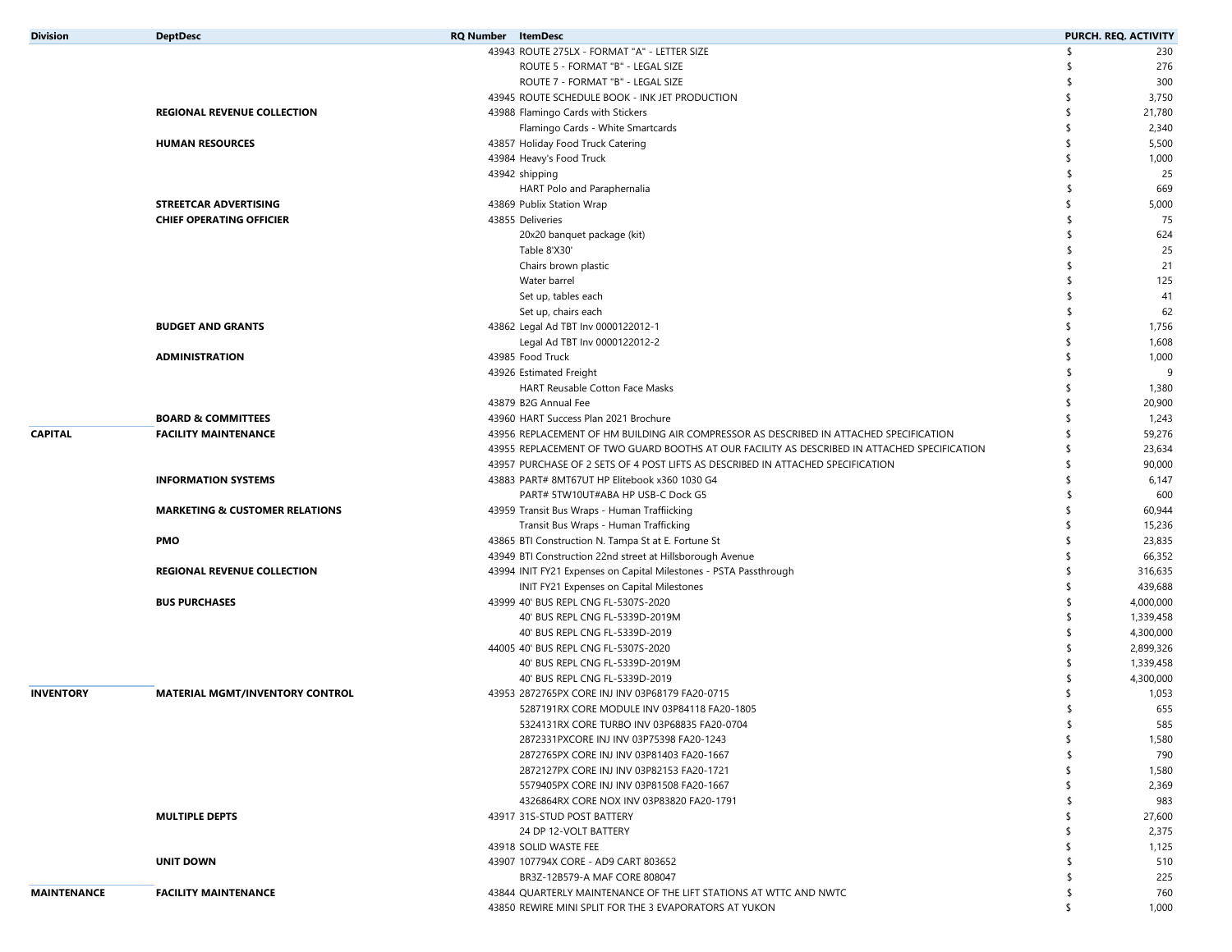| <b>Division</b>    | <b>DeptDesc</b>                           | <b>RQ Number</b> ItemDesc                                                                    | PURCH. REQ. ACTIVITY |           |
|--------------------|-------------------------------------------|----------------------------------------------------------------------------------------------|----------------------|-----------|
|                    |                                           | 43943 ROUTE 275LX - FORMAT "A" - LETTER SIZE                                                 | \$,                  | 230       |
|                    |                                           | ROUTE 5 - FORMAT "B" - LEGAL SIZE                                                            |                      | 276       |
|                    |                                           | ROUTE 7 - FORMAT "B" - LEGAL SIZE                                                            |                      | 300       |
|                    |                                           | 43945 ROUTE SCHEDULE BOOK - INK JET PRODUCTION                                               |                      | 3,750     |
|                    | <b>REGIONAL REVENUE COLLECTION</b>        | 43988 Flamingo Cards with Stickers                                                           |                      | 21,780    |
|                    |                                           | Flamingo Cards - White Smartcards                                                            |                      | 2,340     |
|                    | <b>HUMAN RESOURCES</b>                    | 43857 Holiday Food Truck Catering                                                            | \$                   | 5,500     |
|                    |                                           | 43984 Heavy's Food Truck                                                                     |                      | 1,000     |
|                    |                                           | 43942 shipping                                                                               |                      | 25        |
|                    |                                           | HART Polo and Paraphernalia                                                                  | $\mathsf{\$}$        | 669       |
|                    | STREETCAR ADVERTISING                     | 43869 Publix Station Wrap                                                                    | \$                   | 5,000     |
|                    | <b>CHIEF OPERATING OFFICIER</b>           | 43855 Deliveries                                                                             |                      | 75        |
|                    |                                           | 20x20 banquet package (kit)                                                                  | -\$                  | 624       |
|                    |                                           | Table 8'X30'                                                                                 |                      | 25        |
|                    |                                           | Chairs brown plastic                                                                         |                      | 21        |
|                    |                                           | Water barrel                                                                                 | \$                   | 125       |
|                    |                                           | Set up, tables each                                                                          |                      | 41        |
|                    |                                           | Set up, chairs each                                                                          |                      | 62        |
|                    | <b>BUDGET AND GRANTS</b>                  | 43862 Legal Ad TBT Inv 0000122012-1                                                          |                      | 1,756     |
|                    |                                           | Legal Ad TBT Inv 0000122012-2                                                                |                      | 1,608     |
|                    | <b>ADMINISTRATION</b>                     | 43985 Food Truck                                                                             |                      | 1,000     |
|                    |                                           | 43926 Estimated Freight                                                                      |                      | -9        |
|                    |                                           | HART Reusable Cotton Face Masks                                                              |                      | 1,380     |
|                    |                                           | 43879 B2G Annual Fee                                                                         |                      | 20,900    |
|                    | <b>BOARD &amp; COMMITTEES</b>             | 43960 HART Success Plan 2021 Brochure                                                        |                      | 1,243     |
| <b>CAPITAL</b>     | <b>FACILITY MAINTENANCE</b>               | 43956 REPLACEMENT OF HM BUILDING AIR COMPRESSOR AS DESCRIBED IN ATTACHED SPECIFICATION       |                      | 59,276    |
|                    |                                           | 43955 REPLACEMENT OF TWO GUARD BOOTHS AT OUR FACILITY AS DESCRIBED IN ATTACHED SPECIFICATION |                      | 23,634    |
|                    |                                           | 43957 PURCHASE OF 2 SETS OF 4 POST LIFTS AS DESCRIBED IN ATTACHED SPECIFICATION              |                      | 90,000    |
|                    | <b>INFORMATION SYSTEMS</b>                | 43883 PART# 8MT67UT HP Elitebook x360 1030 G4                                                |                      | 6,147     |
|                    |                                           | PART# 5TW10UT#ABA HP USB-C Dock G5                                                           | \$                   | 600       |
|                    | <b>MARKETING &amp; CUSTOMER RELATIONS</b> | 43959 Transit Bus Wraps - Human Traffiicking                                                 |                      | 60,944    |
|                    |                                           | Transit Bus Wraps - Human Trafficking                                                        |                      | 15,236    |
|                    | <b>PMO</b>                                | 43865 BTI Construction N. Tampa St at E. Fortune St                                          |                      | 23,835    |
|                    |                                           | 43949 BTI Construction 22nd street at Hillsborough Avenue                                    |                      | 66,352    |
|                    | <b>REGIONAL REVENUE COLLECTION</b>        | 43994 INIT FY21 Expenses on Capital Milestones - PSTA Passthrough                            | -S                   | 316,635   |
|                    |                                           | INIT FY21 Expenses on Capital Milestones                                                     |                      | 439,688   |
|                    | <b>BUS PURCHASES</b>                      | 43999 40' BUS REPL CNG FL-5307S-2020                                                         |                      | 4,000,000 |
|                    |                                           | 40' BUS REPL CNG FL-5339D-2019M                                                              |                      | 1,339,458 |
|                    |                                           | 40' BUS REPL CNG FL-5339D-2019                                                               |                      | 4,300,000 |
|                    |                                           | 44005 40' BUS REPL CNG FL-5307S-2020                                                         |                      | 2,899,326 |
|                    |                                           | 40' BUS REPL CNG FL-5339D-2019M                                                              |                      | 1,339,458 |
|                    |                                           | 40' BUS REPL CNG FL-5339D-2019                                                               |                      | 4,300,000 |
| <b>INVENTORY</b>   | <b>MATERIAL MGMT/INVENTORY CONTROL</b>    | 43953 2872765PX CORE INJ INV 03P68179 FA20-0715                                              |                      | 1,053     |
|                    |                                           | 5287191RX CORE MODULE INV 03P84118 FA20-1805                                                 | -\$                  | 655       |
|                    |                                           | 5324131RX CORE TURBO INV 03P68835 FA20-0704                                                  |                      | 585       |
|                    |                                           | 2872331PXCORE INJ INV 03P75398 FA20-1243                                                     | \$                   | 1,580     |
|                    |                                           | 2872765PX CORE INJ INV 03P81403 FA20-1667                                                    |                      | 790       |
|                    |                                           | 2872127PX CORE INJ INV 03P82153 FA20-1721                                                    |                      | 1,580     |
|                    |                                           | 5579405PX CORE INJ INV 03P81508 FA20-1667                                                    |                      | 2,369     |
|                    |                                           | 4326864RX CORE NOX INV 03P83820 FA20-1791                                                    |                      | 983       |
|                    | <b>MULTIPLE DEPTS</b>                     | 43917 31S-STUD POST BATTERY                                                                  |                      | 27,600    |
|                    |                                           | 24 DP 12-VOLT BATTERY                                                                        |                      | 2,375     |
|                    |                                           | 43918 SOLID WASTE FEE                                                                        |                      | 1,125     |
|                    | <b>UNIT DOWN</b>                          | 43907 107794X CORE - AD9 CART 803652                                                         |                      | 510       |
|                    |                                           | BR3Z-12B579-A MAF CORE 808047                                                                |                      | 225       |
| <b>MAINTENANCE</b> | <b>FACILITY MAINTENANCE</b>               | 43844 QUARTERLY MAINTENANCE OF THE LIFT STATIONS AT WTTC AND NWTC                            |                      | 760       |
|                    |                                           | 43850 REWIRE MINI SPLIT FOR THE 3 EVAPORATORS AT YUKON                                       | \$                   | 1,000     |
|                    |                                           |                                                                                              |                      |           |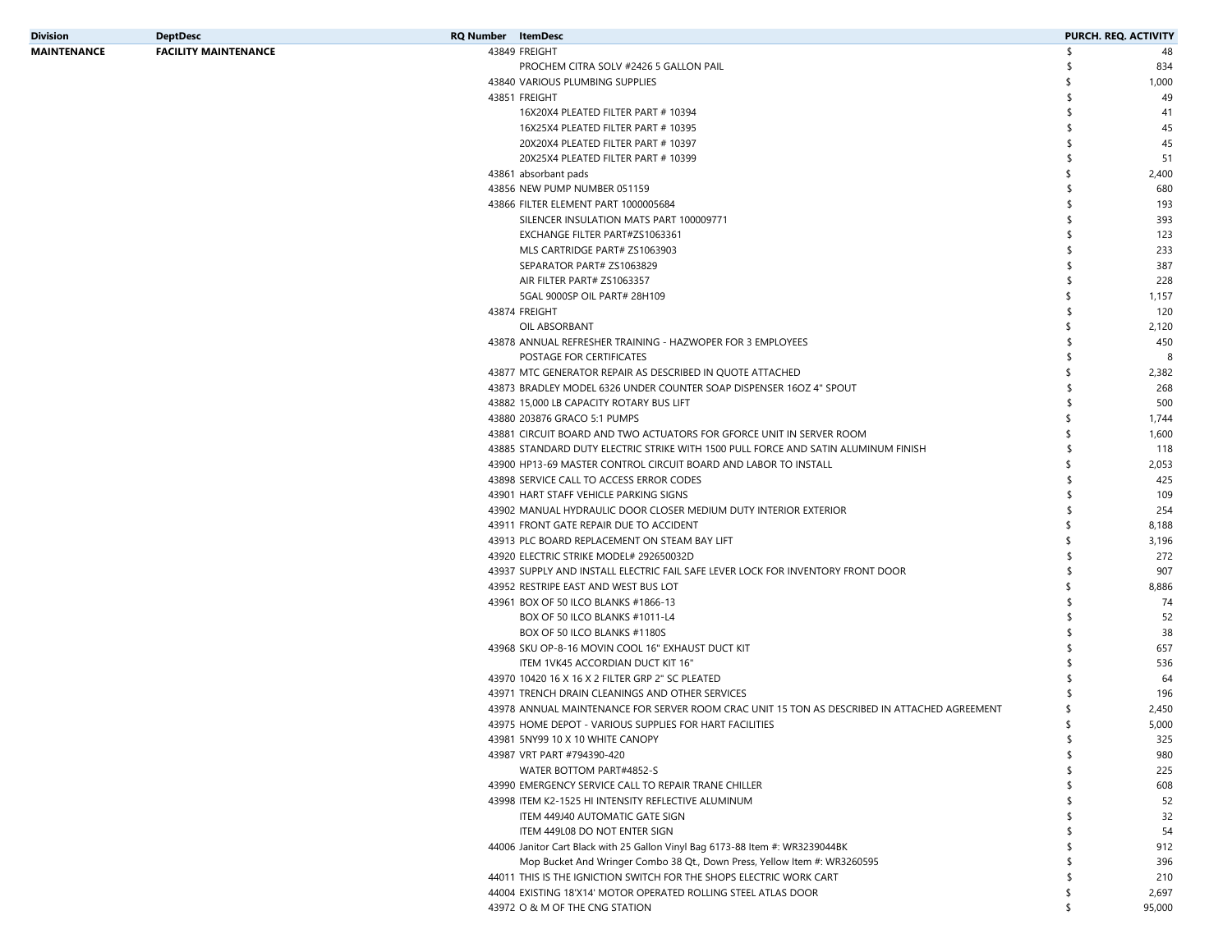| Division    | <b>DeptDesc</b>             | <b>RQ Number</b> ItemDesc |                                                                                              | <b>PURCH. REQ. ACTIVITY</b> |
|-------------|-----------------------------|---------------------------|----------------------------------------------------------------------------------------------|-----------------------------|
| MAINTENANCE | <b>FACILITY MAINTENANCE</b> |                           | 43849 FREIGHT                                                                                | \$<br>48                    |
|             |                             |                           | PROCHEM CITRA SOLV #2426 5 GALLON PAIL                                                       | 834                         |
|             |                             |                           | 43840 VARIOUS PLUMBING SUPPLIES                                                              | 1,000                       |
|             |                             |                           | 43851 FREIGHT                                                                                | 49                          |
|             |                             |                           | 16X20X4 PLEATED FILTER PART # 10394                                                          | 41                          |
|             |                             |                           | 16X25X4 PLEATED FILTER PART # 10395                                                          | 45                          |
|             |                             |                           | 20X20X4 PLEATED FILTER PART # 10397                                                          | 45                          |
|             |                             |                           | 20X25X4 PLEATED FILTER PART # 10399                                                          | 51                          |
|             |                             |                           | 43861 absorbant pads                                                                         | 2,400                       |
|             |                             |                           | 43856 NEW PUMP NUMBER 051159                                                                 | 680                         |
|             |                             |                           | 43866 FILTER ELEMENT PART 1000005684                                                         | 193                         |
|             |                             |                           | SILENCER INSULATION MATS PART 100009771                                                      | 393                         |
|             |                             |                           | EXCHANGE FILTER PART#ZS1063361                                                               | 123                         |
|             |                             |                           | MLS CARTRIDGE PART# ZS1063903                                                                | 233                         |
|             |                             |                           | SEPARATOR PART# ZS1063829                                                                    | 387                         |
|             |                             |                           | AIR FILTER PART# ZS1063357                                                                   | 228                         |
|             |                             |                           | 5GAL 9000SP OIL PART# 28H109                                                                 | 1,157                       |
|             |                             |                           | 43874 FREIGHT                                                                                | 120                         |
|             |                             |                           |                                                                                              |                             |
|             |                             |                           | OIL ABSORBANT                                                                                | 2,120                       |
|             |                             |                           | 43878 ANNUAL REFRESHER TRAINING - HAZWOPER FOR 3 EMPLOYEES                                   | 450                         |
|             |                             |                           | POSTAGE FOR CERTIFICATES                                                                     | 8                           |
|             |                             |                           | 43877 MTC GENERATOR REPAIR AS DESCRIBED IN QUOTE ATTACHED                                    | 2,382                       |
|             |                             |                           | 43873 BRADLEY MODEL 6326 UNDER COUNTER SOAP DISPENSER 16OZ 4" SPOUT                          | 268                         |
|             |                             |                           | 43882 15,000 LB CAPACITY ROTARY BUS LIFT                                                     | 500                         |
|             |                             |                           | 43880 203876 GRACO 5:1 PUMPS                                                                 | 1,744                       |
|             |                             |                           | 43881 CIRCUIT BOARD AND TWO ACTUATORS FOR GFORCE UNIT IN SERVER ROOM                         | 1,600                       |
|             |                             |                           | 43885 STANDARD DUTY ELECTRIC STRIKE WITH 1500 PULL FORCE AND SATIN ALUMINUM FINISH           | 118                         |
|             |                             |                           | 43900 HP13-69 MASTER CONTROL CIRCUIT BOARD AND LABOR TO INSTALL                              | 2,053                       |
|             |                             |                           | 43898 SERVICE CALL TO ACCESS ERROR CODES                                                     | 425                         |
|             |                             |                           | 43901 HART STAFF VEHICLE PARKING SIGNS                                                       | 109                         |
|             |                             |                           | 43902 MANUAL HYDRAULIC DOOR CLOSER MEDIUM DUTY INTERIOR EXTERIOR                             | 254                         |
|             |                             |                           | 43911 FRONT GATE REPAIR DUE TO ACCIDENT                                                      | 8,188                       |
|             |                             |                           | 43913 PLC BOARD REPLACEMENT ON STEAM BAY LIFT                                                | 3,196                       |
|             |                             |                           | 43920 ELECTRIC STRIKE MODEL# 292650032D                                                      | 272                         |
|             |                             |                           | 43937 SUPPLY AND INSTALL ELECTRIC FAIL SAFE LEVER LOCK FOR INVENTORY FRONT DOOR              | 907                         |
|             |                             |                           | 43952 RESTRIPE EAST AND WEST BUS LOT                                                         | 8,886                       |
|             |                             |                           | 43961 BOX OF 50 ILCO BLANKS #1866-13                                                         | 74                          |
|             |                             |                           | BOX OF 50 ILCO BLANKS #1011-L4                                                               | 52                          |
|             |                             |                           | BOX OF 50 ILCO BLANKS #1180S                                                                 | 38                          |
|             |                             |                           | 43968 SKU OP-8-16 MOVIN COOL 16" EXHAUST DUCT KIT                                            | 657                         |
|             |                             |                           | ITEM 1VK45 ACCORDIAN DUCT KIT 16"                                                            | 536                         |
|             |                             |                           | 43970 10420 16 X 16 X 2 FILTER GRP 2" SC PLEATED                                             | 64                          |
|             |                             |                           | 43971 TRENCH DRAIN CLEANINGS AND OTHER SERVICES                                              | 196                         |
|             |                             |                           | 43978 ANNUAL MAINTENANCE FOR SERVER ROOM CRAC UNIT 15 TON AS DESCRIBED IN ATTACHED AGREEMENT | 2,450                       |
|             |                             |                           | 43975 HOME DEPOT - VARIOUS SUPPLIES FOR HART FACILITIES                                      | \$<br>5,000                 |
|             |                             |                           |                                                                                              |                             |
|             |                             |                           | 43981 5NY99 10 X 10 WHITE CANOPY                                                             | 325                         |
|             |                             |                           | 43987 VRT PART #794390-420                                                                   | 980                         |
|             |                             |                           | WATER BOTTOM PART#4852-S                                                                     | 225                         |
|             |                             |                           | 43990 EMERGENCY SERVICE CALL TO REPAIR TRANE CHILLER                                         | 608                         |
|             |                             |                           | 43998 ITEM K2-1525 HI INTENSITY REFLECTIVE ALUMINUM                                          | 52                          |
|             |                             |                           | ITEM 449J40 AUTOMATIC GATE SIGN                                                              | 32                          |
|             |                             |                           | ITEM 449L08 DO NOT ENTER SIGN                                                                | 54                          |
|             |                             |                           | 44006 Janitor Cart Black with 25 Gallon Vinyl Bag 6173-88 Item #: WR3239044BK                | 912                         |
|             |                             |                           | Mop Bucket And Wringer Combo 38 Qt., Down Press, Yellow Item #: WR3260595                    | 396                         |
|             |                             |                           | 44011 THIS IS THE IGNICTION SWITCH FOR THE SHOPS ELECTRIC WORK CART                          | 210                         |
|             |                             |                           | 44004 EXISTING 18'X14' MOTOR OPERATED ROLLING STEEL ATLAS DOOR                               | 2,697                       |
|             |                             |                           | 43972 O & M OF THE CNG STATION                                                               | 95,000                      |
|             |                             |                           |                                                                                              |                             |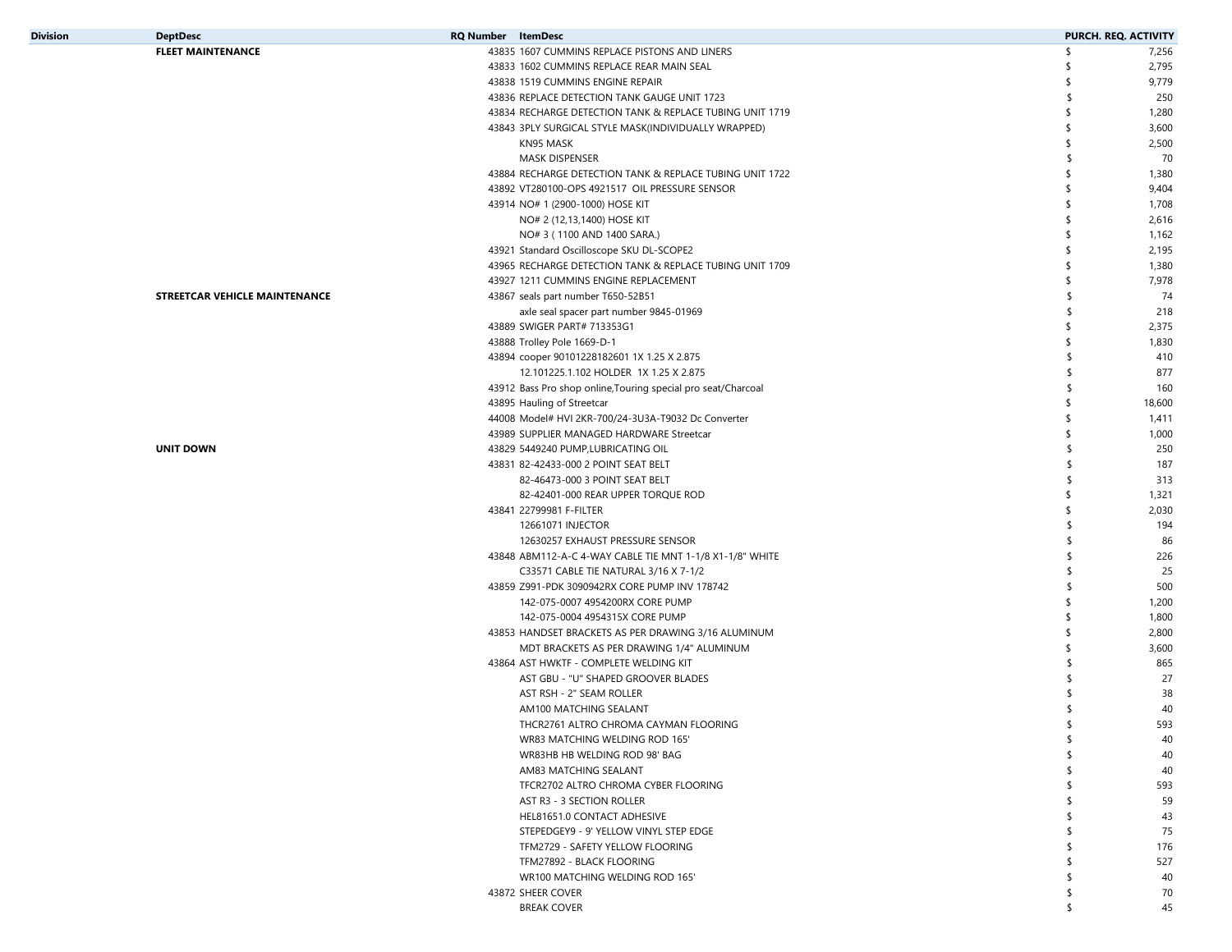| <b>Division</b> | <b>DeptDesc</b>               | <b>RQ Number</b> ItemDesc                                     | PURCH. REQ. ACTIVITY |
|-----------------|-------------------------------|---------------------------------------------------------------|----------------------|
|                 | <b>FLEET MAINTENANCE</b>      | 43835 1607 CUMMINS REPLACE PISTONS AND LINERS                 | \$<br>7,256          |
|                 |                               | 43833 1602 CUMMINS REPLACE REAR MAIN SEAL                     | 2,795<br>S           |
|                 |                               | 43838 1519 CUMMINS ENGINE REPAIR                              | 9,779<br>- \$        |
|                 |                               | 43836 REPLACE DETECTION TANK GAUGE UNIT 1723                  | 250<br>\$            |
|                 |                               | 43834 RECHARGE DETECTION TANK & REPLACE TUBING UNIT 1719      | 1,280<br>-\$         |
|                 |                               | 43843 3PLY SURGICAL STYLE MASK(INDIVIDUALLY WRAPPED)          | \$<br>3,600          |
|                 |                               | KN95 MASK                                                     | 2,500<br>-\$         |
|                 |                               | MASK DISPENSER                                                | 70<br>\$             |
|                 |                               | 43884 RECHARGE DETECTION TANK & REPLACE TUBING UNIT 1722      | 1,380<br>S           |
|                 |                               | 43892 VT280100-OPS 4921517 OIL PRESSURE SENSOR                | 9,404<br>-S          |
|                 |                               | 43914 NO# 1 (2900-1000) HOSE KIT                              | 1,708<br>-\$         |
|                 |                               | NO# 2 (12,13,1400) HOSE KIT                                   | \$<br>2,616          |
|                 |                               | NO# 3 (1100 AND 1400 SARA.)                                   | 1,162<br>\$          |
|                 |                               | 43921 Standard Oscilloscope SKU DL-SCOPE2                     | 2,195<br>-\$         |
|                 |                               | 43965 RECHARGE DETECTION TANK & REPLACE TUBING UNIT 1709      | \$<br>1,380          |
|                 |                               | 43927 1211 CUMMINS ENGINE REPLACEMENT                         | 7,978<br>-\$         |
|                 | STREETCAR VEHICLE MAINTENANCE | 43867 seals part number T650-52B51                            | 74<br>\$             |
|                 |                               | axle seal spacer part number 9845-01969                       | 218<br>\$            |
|                 |                               | 43889 SWIGER PART# 713353G1                                   | 2,375<br>\$          |
|                 |                               | 43888 Trolley Pole 1669-D-1                                   | \$<br>1,830          |
|                 |                               | 43894 cooper 90101228182601 1X 1.25 X 2.875                   | 410<br>S             |
|                 |                               | 12.101225.1.102 HOLDER 1X 1.25 X 2.875                        | 877<br>\$            |
|                 |                               | 43912 Bass Pro shop online, Touring special pro seat/Charcoal | 160<br>\$            |
|                 |                               | 43895 Hauling of Streetcar                                    | 18,600<br>\$         |
|                 |                               |                                                               | -\$<br>1,411         |
|                 |                               | 44008 Model# HVI 2KR-700/24-3U3A-T9032 Dc Converter           | \$                   |
|                 |                               | 43989 SUPPLIER MANAGED HARDWARE Streetcar                     | 1,000                |
|                 | <b>UNIT DOWN</b>              | 43829 5449240 PUMP, LUBRICATING OIL                           | 250<br>\$            |
|                 |                               | 43831 82-42433-000 2 POINT SEAT BELT                          | 187<br>\$            |
|                 |                               | 82-46473-000 3 POINT SEAT BELT                                | 313<br>\$            |
|                 |                               | 82-42401-000 REAR UPPER TORQUE ROD                            | \$<br>1,321          |
|                 |                               | 43841 22799981 F-FILTER                                       | 2,030<br>\$          |
|                 |                               | 12661071 INJECTOR                                             | 194<br>\$            |
|                 |                               | 12630257 EXHAUST PRESSURE SENSOR                              | 86<br>\$             |
|                 |                               | 43848 ABM112-A-C 4-WAY CABLE TIE MNT 1-1/8 X1-1/8" WHITE      | 226<br>\$            |
|                 |                               | C33571 CABLE TIE NATURAL 3/16 X 7-1/2                         | 25                   |
|                 |                               | 43859 Z991-PDK 3090942RX CORE PUMP INV 178742                 | 500                  |
|                 |                               | 142-075-0007 4954200RX CORE PUMP                              | 1,200<br>-\$         |
|                 |                               | 142-075-0004 4954315X CORE PUMP                               | 1,800<br>\$          |
|                 |                               | 43853 HANDSET BRACKETS AS PER DRAWING 3/16 ALUMINUM           | 2,800<br>-\$         |
|                 |                               | MDT BRACKETS AS PER DRAWING 1/4" ALUMINUM                     | 3,600<br>-\$         |
|                 |                               | 43864 AST HWKTF - COMPLETE WELDING KIT                        | 865<br>-S            |
|                 |                               | AST GBU - "U" SHAPED GROOVER BLADES                           | 27                   |
|                 |                               | AST RSH - 2" SEAM ROLLER                                      | 38                   |
|                 |                               | AM100 MATCHING SEALANT                                        | 40                   |
|                 |                               | THCR2761 ALTRO CHROMA CAYMAN FLOORING                         | 593                  |
|                 |                               | WR83 MATCHING WELDING ROD 165'                                | \$<br>40             |
|                 |                               | WR83HB HB WELDING ROD 98' BAG                                 | ≮<br>40              |
|                 |                               | AM83 MATCHING SEALANT                                         | 40                   |
|                 |                               | TFCR2702 ALTRO CHROMA CYBER FLOORING                          | 593                  |
|                 |                               | AST R3 - 3 SECTION ROLLER                                     | 59                   |
|                 |                               | HEL81651.0 CONTACT ADHESIVE                                   | 43                   |
|                 |                               | STEPEDGEY9 - 9' YELLOW VINYL STEP EDGE                        | 75<br>\$             |
|                 |                               | TFM2729 - SAFETY YELLOW FLOORING                              | 176<br>-S            |
|                 |                               | TFM27892 - BLACK FLOORING                                     | 527<br>\$            |
|                 |                               | WR100 MATCHING WELDING ROD 165'                               | 40<br>\$.            |
|                 |                               | 43872 SHEER COVER                                             | 70<br>S              |
|                 |                               | <b>BREAK COVER</b>                                            | 45<br>\$             |
|                 |                               |                                                               |                      |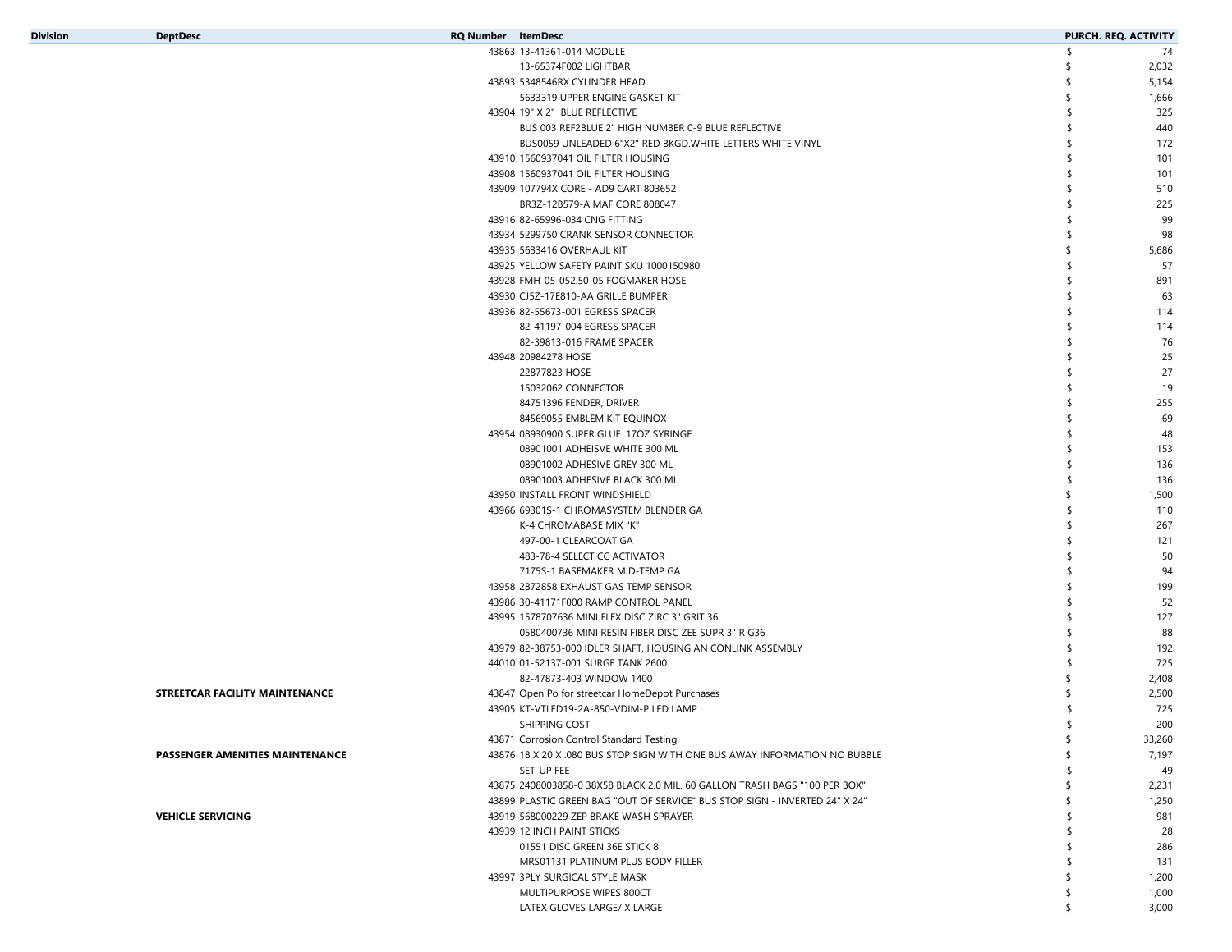| <b>Division</b> |  |  |  |  |
|-----------------|--|--|--|--|
|                 |  |  |  |  |

82-41197-004 EGRESS SPACER

82-39813-016 FRAME SPACER

08901001 ADHEISVE WHITE 300 ML

08901002 ADHESIVE GREY 300 ML

08901003 ADHESIVE BLACK 300 ML

K-4 CHROMABASE MIX "K"

483-78-4 SELECT CC ACTIVATOR

7175S-1 BASEMAKER MID-TEMP GA

497-00-1 CLEARCOAT GA

22877823 HOSE

15032062 CONNECTOR

| Division<br><b>DeptDesc</b><br><b>RQ Number</b> ItemDesc<br>43863 13-41361-014 MODULE<br>13-65374F002 LIGHTBAR<br>43893 5348546RX CYLINDER HEAD<br>5633319 UPPER ENGINE GASKET KIT<br>43904 19" X 2" BLUE REFLECTIVE<br>BUS 003 REF2BLUE 2" HIGH NUMBER 0-9 BLUE REFLECTIVE<br>BUS0059 UNLEADED 6"X2" RED BKGD.WHITE LETTERS WHITE VINYL<br>43910 1560937041 OIL FILTER HOUSING<br>43908 1560937041 OIL FILTER HOUSING<br>43909 107794X CORE - AD9 CART 803652 |  |                               |                      |
|----------------------------------------------------------------------------------------------------------------------------------------------------------------------------------------------------------------------------------------------------------------------------------------------------------------------------------------------------------------------------------------------------------------------------------------------------------------|--|-------------------------------|----------------------|
|                                                                                                                                                                                                                                                                                                                                                                                                                                                                |  |                               | PURCH. REQ. ACTIVITY |
|                                                                                                                                                                                                                                                                                                                                                                                                                                                                |  |                               | 74                   |
|                                                                                                                                                                                                                                                                                                                                                                                                                                                                |  |                               | 2,032                |
|                                                                                                                                                                                                                                                                                                                                                                                                                                                                |  |                               | 5,154                |
|                                                                                                                                                                                                                                                                                                                                                                                                                                                                |  |                               | 1,666                |
|                                                                                                                                                                                                                                                                                                                                                                                                                                                                |  |                               | 325                  |
|                                                                                                                                                                                                                                                                                                                                                                                                                                                                |  |                               | 440                  |
|                                                                                                                                                                                                                                                                                                                                                                                                                                                                |  |                               | 172                  |
|                                                                                                                                                                                                                                                                                                                                                                                                                                                                |  |                               | 101                  |
|                                                                                                                                                                                                                                                                                                                                                                                                                                                                |  |                               | 101                  |
|                                                                                                                                                                                                                                                                                                                                                                                                                                                                |  |                               | 510                  |
|                                                                                                                                                                                                                                                                                                                                                                                                                                                                |  | BR3Z-12B579-A MAF CORE 808047 | 225                  |

| <b>STREETCAR FACILITY MAINTENANCE</b> |  |  |
|---------------------------------------|--|--|

**PASSENGER AMENITIES MAINTENANCE**

**VEHICLE SERVICING**

43986 30-41171F000 RAMP CONTROL PANEL \$ 52 43995 1578707636 MINI FLEX DISC ZIRC 3" GRIT 36 \$ 127 0580400736 MINI RESIN FIBER DISC ZEE SUPR 3" R G36 $\sim$  6 and  $\sim$  88 43979 82-38753-000 IDLER SHAFT, HOUSING AN CONLINK ASSEMBLY \$ 192 44010 01-52137-001 SURGE TANK 2600 \$ 725 82-47873-403 WINDOW 1400 $\sim$  2,408 43847 Open Po for streetcar HomeDepot Purchases \$ 2,500 43905 KT-VTLED19-2A-850-VDIM-P LED LAMP \$ 725 SHIPPING COST $\uparrow$   $\uparrow$  200 43871 Corrosion Control Standard Testing \$ 33,260 43876 18 X 20 X .080 BUS STOP SIGN WITH ONE BUS AWAY INFORMATION NO BUBBLE \$ \$ \$ \$ \$ 7,197 SET-UP FEE $\frac{1}{3}$  49 43875 2408003858-0 38X58 BLACK 2.0 MIL. 60 GALLON TRASH BAGS "100 PER BOX" 2,231 \$ 43899 PLASTIC GREEN BAG "OUT OF SERVICE" BUS STOP SIGN - INVERTED 24" X 24" 1,250 1,250 \$ 43919 568000229 ZEP BRAKE WASH SPRAYER \$ 981 43939 12 INCH PAINT STICKS 28 01551 DISC GREEN 36E STICK 8 $8$  286 MRS01131 PLATINUM PLUS BODY FILLERR and the contract of the contract of  $\frac{1}{2}$  and  $\frac{1}{2}$  and  $\frac{1}{2}$  and  $\frac{1}{2}$  and  $\frac{1}{2}$  and  $\frac{1}{2}$  and  $\frac{1}{2}$  and  $\frac{1}{2}$  and  $\frac{1}{2}$  and  $\frac{1}{2}$  and  $\frac{1}{2}$  and  $\frac{1}{2}$  and  $\frac{1}{2}$  and 43997 3PLY SURGICAL STYLE MASK  $\sim$  1,200 MULTIPURPOSE WIPES 800CTT and the contract of the contract of the contract of  $\frac{1}{2}$  and  $\frac{1}{2}$  and  $\frac{1}{2}$  and  $\frac{1}{2}$  and  $\frac{1}{2}$  and  $\frac{1}{2}$  and  $\frac{1}{2}$  and  $\frac{1}{2}$  and  $\frac{1}{2}$  and  $\frac{1}{2}$  and  $\frac{1}{2}$  and  $\frac{1}{2}$  and LATEX GLOVES LARGE/ X LARGE \$ 3,000

 82-65996-034 CNG FITTING \$ 99 5299750 CRANK SENSOR CONNECTOR \$ 98 5633416 OVERHAUL KIT \$ 5,686 43925 YELLOW SAFETY PAINT SKU 1000150980 \$ 57 FMH-05-052.50-05 FOGMAKER HOSE \$ 891 43930 CJ5Z-17E810-AA GRILLE BUMPER 63 82-55673-001 EGRESS SPACER \$ 114

43948 20984278 HOSE 25

43950 INSTALL FRONT WINDSHIELD \$ 1,500 43966 69301S-1 CHROMASYSTEM BLENDER GA **110 110** 

43958 2872858 EXHAUST GAS TEMP SENSOR \$ 199

84751396 FENDER, DRIVER 255 84569055 EMBLEM KIT EQUINOX \$ 69 43954 08930900 SUPER GLUE .17OZ SYRINGE \$ 48

R and the contract of the contract of  $\frac{1}{2}$  and  $\frac{1}{2}$  and  $\frac{1}{2}$  and  $\frac{1}{2}$  and  $\frac{1}{2}$  and  $\frac{1}{2}$  and  $\frac{1}{2}$  and  $\frac{1}{2}$  and  $\frac{1}{2}$  and  $\frac{1}{2}$  and  $\frac{1}{2}$  and  $\frac{1}{2}$  and  $\frac{1}{2}$  and

R and the contract of the contract of  $\frac{1}{2}$  and  $\frac{1}{2}$  and  $\frac{1}{2}$  and  $\frac{1}{2}$  and  $\frac{1}{2}$  and  $\frac{1}{2}$  and  $\frac{1}{2}$  and  $\frac{1}{2}$  and  $\frac{1}{2}$  and  $\frac{1}{2}$  and  $\frac{1}{2}$  and  $\frac{1}{2}$  and  $\frac{1}{2}$  and

 $\sim$  153

 $\sim$  136

 $\sim$  136

 $\frac{1}{2}$  267

R and the state of  $\sim$  50  $\pm$  50  $\pm$  50  $\pm$  50  $\pm$  50  $\pm$  50  $\pm$  50  $\pm$  50  $\pm$  50  $\pm$  50  $\pm$  50  $\pm$  50  $\pm$  50  $\pm$  50  $\pm$  50  $\pm$  50  $\pm$  50  $\pm$  50  $\pm$  50  $\pm$  50  $\pm$  50  $\pm$  50  $\pm$  50  $\pm$  50  $\pm$  50  $\$ 

A set of  $\sim$  94

A the set of the set of the set of the set of the set of the set of the set of the set of the set of the set of the set of the set of the set of the set of the set of the set of the set of the set of the set of the set of

 $\sim$  27

R and the set of the set of the set of the set of the set of the set of the set of the set of the set of the set of the set of the set of the set of the set of the set of the set of the set of the set of the set of the se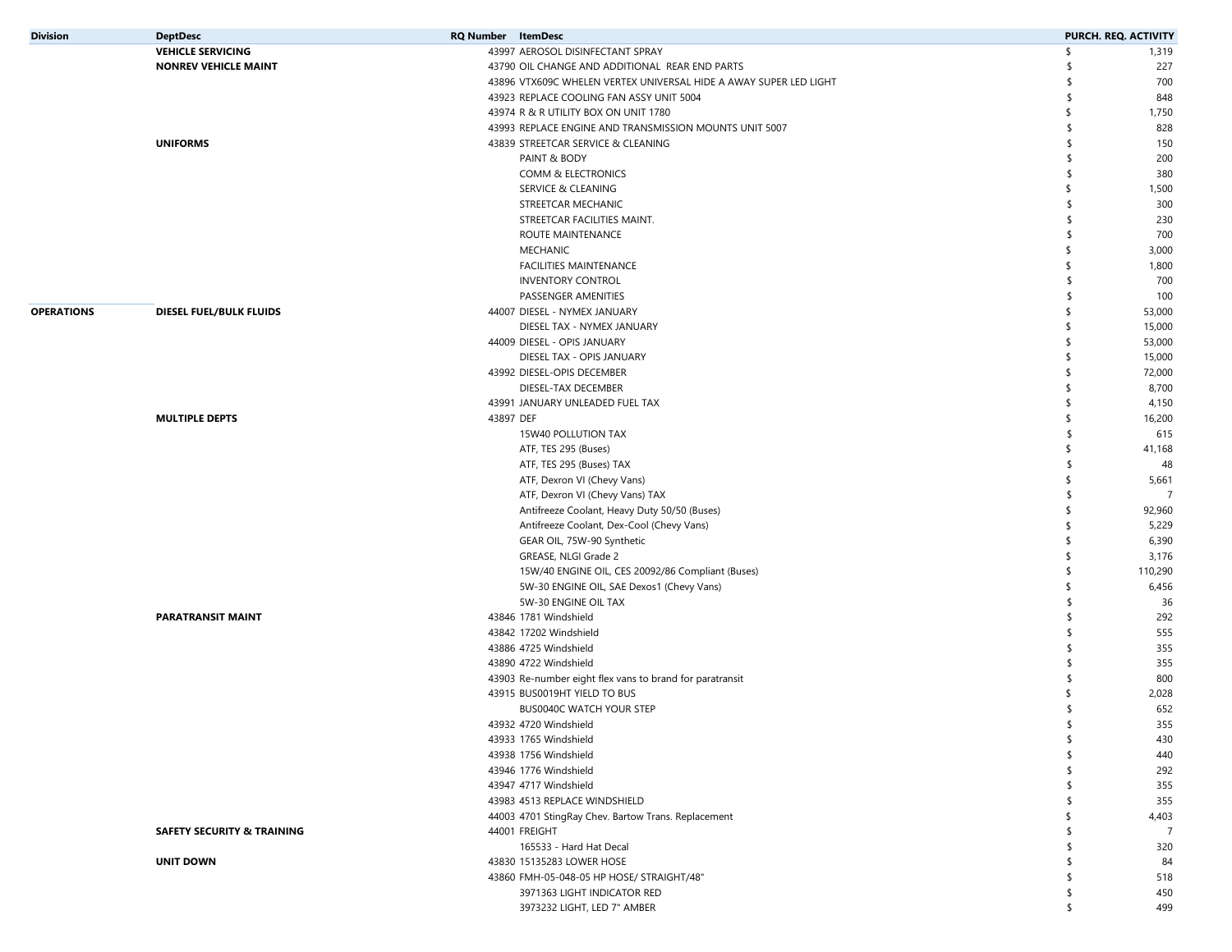| <b>Division</b>   | <b>DeptDesc</b>                       | <b>RQ Number</b> ItemDesc |                                                                   |     | PURCH. REQ. ACTIVITY |
|-------------------|---------------------------------------|---------------------------|-------------------------------------------------------------------|-----|----------------------|
|                   | <b>VEHICLE SERVICING</b>              |                           | 43997 AEROSOL DISINFECTANT SPRAY                                  | \$  | 1,319                |
|                   | <b>NONREV VEHICLE MAINT</b>           |                           | 43790 OIL CHANGE AND ADDITIONAL REAR END PARTS                    | \$  | 227                  |
|                   |                                       |                           | 43896 VTX609C WHELEN VERTEX UNIVERSAL HIDE A AWAY SUPER LED LIGHT | ٩   | 700                  |
|                   |                                       |                           | 43923 REPLACE COOLING FAN ASSY UNIT 5004                          | \$  | 848                  |
|                   |                                       |                           | 43974 R & R UTILITY BOX ON UNIT 1780                              | \$  | 1,750                |
|                   |                                       |                           | 43993 REPLACE ENGINE AND TRANSMISSION MOUNTS UNIT 5007            | \$  | 828                  |
|                   | <b>UNIFORMS</b>                       |                           | 43839 STREETCAR SERVICE & CLEANING                                | \$. | 150                  |
|                   |                                       |                           | PAINT & BODY                                                      | \$. | 200                  |
|                   |                                       |                           | COMM & ELECTRONICS                                                | \$. | 380                  |
|                   |                                       |                           | SERVICE & CLEANING                                                | \$  | 1,500                |
|                   |                                       |                           | STREETCAR MECHANIC                                                | \$  | 300                  |
|                   |                                       |                           | STREETCAR FACILITIES MAINT.                                       | \$. | 230                  |
|                   |                                       |                           | ROUTE MAINTENANCE                                                 | \$  | 700                  |
|                   |                                       |                           | <b>MECHANIC</b>                                                   | \$  | 3,000                |
|                   |                                       |                           | FACILITIES MAINTENANCE                                            | \$  | 1,800                |
|                   |                                       |                           | <b>INVENTORY CONTROL</b>                                          | \$  | 700                  |
|                   |                                       |                           | PASSENGER AMENITIES                                               | \$. | 100                  |
| <b>OPERATIONS</b> | DIESEL FUEL/BULK FLUIDS               |                           | 44007 DIESEL - NYMEX JANUARY                                      | \$  | 53,000               |
|                   |                                       |                           | DIESEL TAX - NYMEX JANUARY                                        | \$  | 15,000               |
|                   |                                       |                           | 44009 DIESEL - OPIS JANUARY                                       | \$  | 53,000               |
|                   |                                       |                           | DIESEL TAX - OPIS JANUARY                                         | \$  | 15,000               |
|                   |                                       |                           | 43992 DIESEL-OPIS DECEMBER                                        | \$  | 72,000               |
|                   |                                       |                           | DIESEL-TAX DECEMBER                                               | \$  | 8,700                |
|                   |                                       |                           | 43991 JANUARY UNLEADED FUEL TAX                                   | \$  | 4,150                |
|                   | <b>MULTIPLE DEPTS</b>                 | 43897 DEF                 |                                                                   | \$  | 16,200               |
|                   |                                       |                           | 15W40 POLLUTION TAX                                               | \$  | 615                  |
|                   |                                       |                           |                                                                   | \$  |                      |
|                   |                                       |                           | ATF, TES 295 (Buses)                                              | \$  | 41,168               |
|                   |                                       |                           | ATF, TES 295 (Buses) TAX                                          |     | 48                   |
|                   |                                       |                           | ATF, Dexron VI (Chevy Vans)                                       | \$  | 5,661                |
|                   |                                       |                           | ATF, Dexron VI (Chevy Vans) TAX                                   | \$  | $\overline{7}$       |
|                   |                                       |                           | Antifreeze Coolant, Heavy Duty 50/50 (Buses)                      | \$  | 92,960               |
|                   |                                       |                           | Antifreeze Coolant, Dex-Cool (Chevy Vans)                         | \$  | 5,229                |
|                   |                                       |                           | GEAR OIL, 75W-90 Synthetic                                        | \$  | 6,390                |
|                   |                                       |                           | GREASE, NLGI Grade 2                                              | \$  | 3,176                |
|                   |                                       |                           | 15W/40 ENGINE OIL, CES 20092/86 Compliant (Buses)                 | \$  | 110,290              |
|                   |                                       |                           | 5W-30 ENGINE OIL, SAE Dexos1 (Chevy Vans)                         | \$  | 6,456                |
|                   |                                       |                           | 5W-30 ENGINE OIL TAX                                              | \$  | 36                   |
|                   | <b>PARATRANSIT MAINT</b>              |                           | 43846 1781 Windshield                                             | \$  | 292                  |
|                   |                                       |                           | 43842 17202 Windshield                                            | \$. | 555                  |
|                   |                                       |                           | 43886 4725 Windshield                                             | \$  | 355                  |
|                   |                                       |                           | 43890 4722 Windshield                                             |     | 355                  |
|                   |                                       |                           | 43903 Re-number eight flex vans to brand for paratransit          |     | 800                  |
|                   |                                       |                           | 43915 BUS0019HT YIELD TO BUS                                      |     | 2,028                |
|                   |                                       |                           | BUS0040C WATCH YOUR STEP                                          | S   | 652                  |
|                   |                                       |                           | 43932 4720 Windshield                                             |     | 355                  |
|                   |                                       |                           | 43933 1765 Windshield                                             | \$  | 430                  |
|                   |                                       |                           | 43938 1756 Windshield                                             | \$  | 440                  |
|                   |                                       |                           | 43946 1776 Windshield                                             | \$  | 292                  |
|                   |                                       |                           | 43947 4717 Windshield                                             | \$  | 355                  |
|                   |                                       |                           | 43983 4513 REPLACE WINDSHIELD                                     | ¢   | 355                  |
|                   |                                       |                           | 44003 4701 StingRay Chev. Bartow Trans. Replacement               | \$  | 4,403                |
|                   | <b>SAFETY SECURITY &amp; TRAINING</b> |                           | 44001 FREIGHT                                                     | S   | $\overline{7}$       |
|                   |                                       |                           | 165533 - Hard Hat Decal                                           | ٩   | 320                  |
|                   | <b>UNIT DOWN</b>                      |                           | 43830 15135283 LOWER HOSE                                         | S   | 84                   |
|                   |                                       |                           | 43860 FMH-05-048-05 HP HOSE/ STRAIGHT/48"                         | \$  | 518                  |
|                   |                                       |                           | 3971363 LIGHT INDICATOR RED                                       | \$  | 450                  |
|                   |                                       |                           | 3973232 LIGHT, LED 7" AMBER                                       | \$  | 499                  |
|                   |                                       |                           |                                                                   |     |                      |